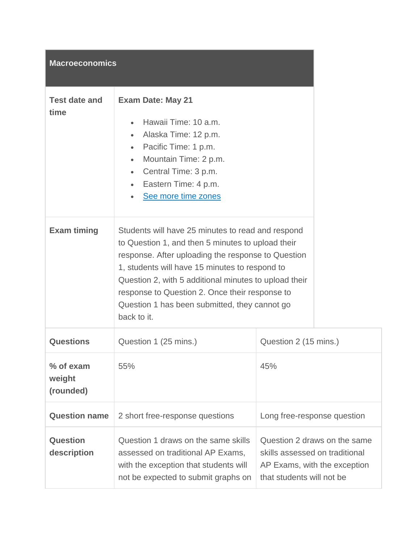## **Macroeconomics**

| <b>Test date and</b><br>time | <b>Exam Date: May 21</b><br>Hawaii Time: 10 a.m.<br>$\bullet$<br>Alaska Time: 12 p.m.<br>$\bullet$<br>Pacific Time: 1 p.m.<br>$\bullet$<br>Mountain Time: 2 p.m.<br>$\bullet$<br>Central Time: 3 p.m.<br>$\bullet$<br>• Eastern Time: 4 p.m.<br>See more time zones                                                                                                                       |  |
|------------------------------|-------------------------------------------------------------------------------------------------------------------------------------------------------------------------------------------------------------------------------------------------------------------------------------------------------------------------------------------------------------------------------------------|--|
| <b>Exam timing</b>           | Students will have 25 minutes to read and respond<br>to Question 1, and then 5 minutes to upload their<br>response. After uploading the response to Question<br>1, students will have 15 minutes to respond to<br>Question 2, with 5 additional minutes to upload their<br>response to Question 2. Once their response to<br>Question 1 has been submitted, they cannot go<br>back to it. |  |

| <b>Questions</b>                 | Question 1 (25 mins.)                                                                                                                                    | Question 2 (15 mins.)                                                                                                       |
|----------------------------------|----------------------------------------------------------------------------------------------------------------------------------------------------------|-----------------------------------------------------------------------------------------------------------------------------|
| % of exam<br>weight<br>(rounded) | 55%                                                                                                                                                      | 45%                                                                                                                         |
| <b>Question name</b>             | 2 short free-response questions                                                                                                                          | Long free-response question                                                                                                 |
| Question<br>description          | Question 1 draws on the same skills<br>assessed on traditional AP Exams,<br>with the exception that students will<br>not be expected to submit graphs on | Question 2 draws on the same<br>skills assessed on traditional<br>AP Exams, with the exception<br>that students will not be |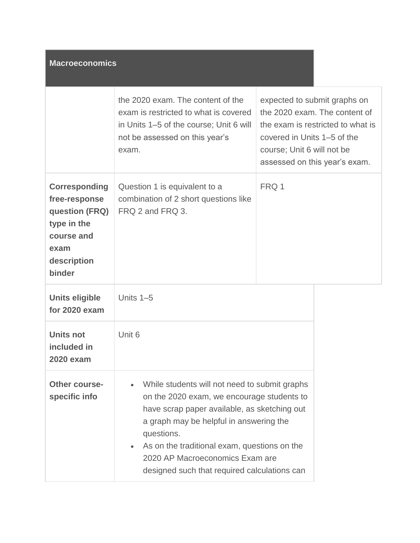| <b>Macroeconomics</b>                                                                                                 |                                                                                                                                                                                                                                                                                                                                         |                                                                                                                                                                                                  |
|-----------------------------------------------------------------------------------------------------------------------|-----------------------------------------------------------------------------------------------------------------------------------------------------------------------------------------------------------------------------------------------------------------------------------------------------------------------------------------|--------------------------------------------------------------------------------------------------------------------------------------------------------------------------------------------------|
|                                                                                                                       | the 2020 exam. The content of the<br>exam is restricted to what is covered<br>in Units 1–5 of the course; Unit 6 will<br>not be assessed on this year's<br>exam.                                                                                                                                                                        | expected to submit graphs on<br>the 2020 exam. The content of<br>the exam is restricted to what is<br>covered in Units 1–5 of the<br>course; Unit 6 will not be<br>assessed on this year's exam. |
| <b>Corresponding</b><br>free-response<br>question (FRQ)<br>type in the<br>course and<br>exam<br>description<br>binder | Question 1 is equivalent to a<br>combination of 2 short questions like<br>FRQ 2 and FRQ 3.                                                                                                                                                                                                                                              | FRQ 1                                                                                                                                                                                            |
| <b>Units eligible</b><br>for 2020 exam                                                                                | Units $1-5$                                                                                                                                                                                                                                                                                                                             |                                                                                                                                                                                                  |
| <b>Units not</b><br>included in<br><b>2020 exam</b>                                                                   | Unit 6                                                                                                                                                                                                                                                                                                                                  |                                                                                                                                                                                                  |
| <b>Other course-</b><br>specific info                                                                                 | While students will not need to submit graphs<br>on the 2020 exam, we encourage students to<br>have scrap paper available, as sketching out<br>a graph may be helpful in answering the<br>questions.<br>As on the traditional exam, questions on the<br>2020 AP Macroeconomics Exam are<br>designed such that required calculations can |                                                                                                                                                                                                  |

a sa mga bayan ng mga sangayon ng mga sangayon ng mga sangayon ng mga sangayon ng mga sangayon ng mga sangayon